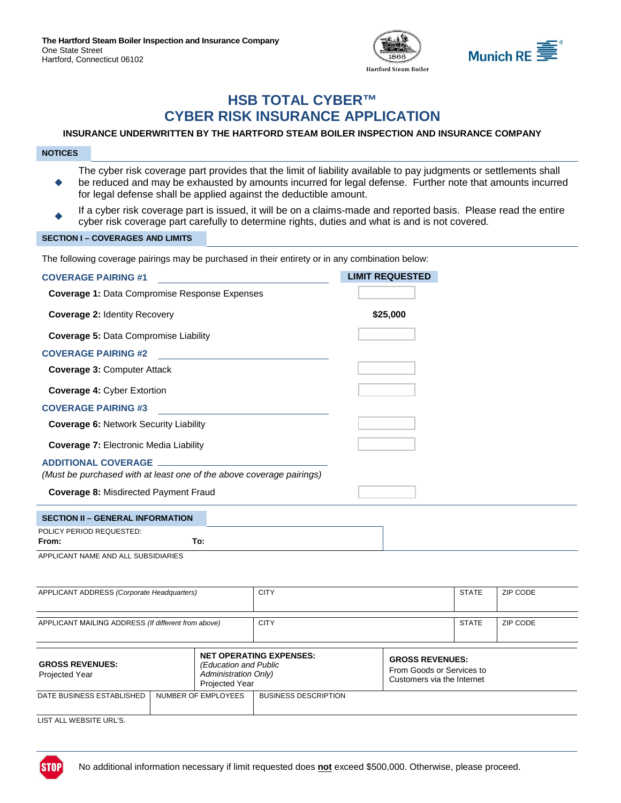



# **HSB TOTAL CYBER™ CYBER RISK INSURANCE APPLICATION**

# **INSURANCE UNDERWRITTEN BY THE HARTFORD STEAM BOILER INSPECTION AND INSURANCE COMPANY**

#### **NOTICES**

- ٠ The cyber risk coverage part provides that the limit of liability available to pay judgments or settlements shall be reduced and may be exhausted by amounts incurred for legal defense. Further note that amounts incurred for legal defense shall be applied against the deductible amount.
- If a cyber risk coverage part is issued, it will be on a claims-made and reported basis. Please read the entire cyber risk coverage part carefully to determine rights, duties and what is and is not covered.

### **SECTION I – COVERAGES AND LIMITS**

The following coverage pairings may be purchased in their entirety or in any combination below:

| <b>COVERAGE PAIRING #1</b>                                                                         | <b>LIMIT REQUESTED</b> |
|----------------------------------------------------------------------------------------------------|------------------------|
| <b>Coverage 1: Data Compromise Response Expenses</b>                                               |                        |
| <b>Coverage 2: Identity Recovery</b>                                                               | \$25,000               |
| <b>Coverage 5: Data Compromise Liability</b>                                                       |                        |
| <b>COVERAGE PAIRING #2</b>                                                                         |                        |
| <b>Coverage 3: Computer Attack</b>                                                                 |                        |
| <b>Coverage 4: Cyber Extortion</b>                                                                 |                        |
| <b>COVERAGE PAIRING #3</b>                                                                         |                        |
| <b>Coverage 6: Network Security Liability</b>                                                      |                        |
| <b>Coverage 7: Electronic Media Liability</b>                                                      |                        |
| <b>ADDITIONAL COVERAGE</b><br>(Must be purchased with at least one of the above coverage pairings) |                        |
| <b>Coverage 8: Misdirected Payment Fraud</b>                                                       |                        |
| <b>SECTION II - GENERAL INFORMATION</b>                                                            |                        |
| POLICY PERIOD REQUESTED:<br>To:<br>From:                                                           |                        |
| APPLICANT NAME AND ALL SUBSIDIARIES                                                                |                        |

| APPLICANT ADDRESS (Corporate Headquarters)          |  |                                                                               | <b>CITY</b>                    |                                                                                   | <b>STATE</b> | ZIP CODE |
|-----------------------------------------------------|--|-------------------------------------------------------------------------------|--------------------------------|-----------------------------------------------------------------------------------|--------------|----------|
| APPLICANT MAILING ADDRESS (If different from above) |  | <b>CITY</b>                                                                   |                                | <b>STATE</b>                                                                      | ZIP CODE     |          |
| <b>GROSS REVENUES:</b><br><b>Projected Year</b>     |  | (Education and Public<br><b>Administration Only)</b><br><b>Projected Year</b> | <b>NET OPERATING EXPENSES:</b> | <b>GROSS REVENUES:</b><br>From Goods or Services to<br>Customers via the Internet |              |          |
| DATE BUSINESS ESTABLISHED                           |  | NUMBER OF EMPLOYEES                                                           | <b>BUSINESS DESCRIPTION</b>    |                                                                                   |              |          |
| LIST ALL WEBSITE URL'S.                             |  |                                                                               |                                |                                                                                   |              |          |

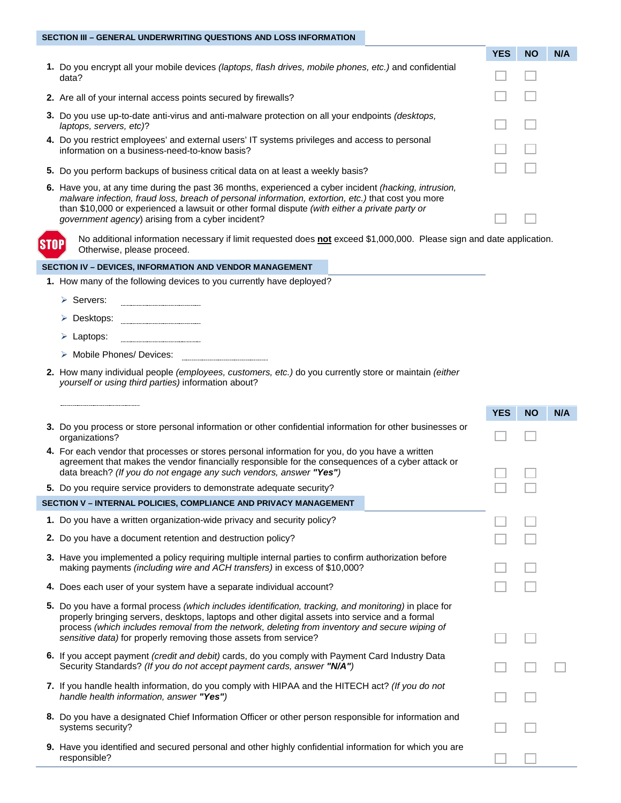### **SECTION III – GENERAL UNDERWRITING QUESTIONS AND LOSS INFORMATION**

|                                                                                                                                                                                                                                                                                                                                                                            | <b>YES</b> | <b>NO</b> | N/A |
|----------------------------------------------------------------------------------------------------------------------------------------------------------------------------------------------------------------------------------------------------------------------------------------------------------------------------------------------------------------------------|------------|-----------|-----|
| 1. Do you encrypt all your mobile devices <i>(laptops, flash drives, mobile phones, etc.)</i> and confidential<br>data?                                                                                                                                                                                                                                                    |            |           |     |
| 2. Are all of your internal access points secured by firewalls?                                                                                                                                                                                                                                                                                                            |            |           |     |
| 3. Do you use up-to-date anti-virus and anti-malware protection on all your endpoints (desktops,<br>laptops, servers, etc)?                                                                                                                                                                                                                                                |            |           |     |
| 4. Do you restrict employees' and external users' IT systems privileges and access to personal<br>information on a business-need-to-know basis?                                                                                                                                                                                                                            |            |           |     |
| 5. Do you perform backups of business critical data on at least a weekly basis?                                                                                                                                                                                                                                                                                            |            |           |     |
| 6. Have you, at any time during the past 36 months, experienced a cyber incident (hacking, intrusion,<br>malware infection, fraud loss, breach of personal information, extortion, etc.) that cost you more<br>than \$10,000 or experienced a lawsuit or other formal dispute (with either a private party or<br><i>government agency</i> ) arising from a cyber incident? |            |           |     |

No additional information necessary if limit requested does **not** exceed \$1,000,000. Please sign and date application. Otherwise, please proceed.

#### **SECTION IV – DEVICES, INFORMATION AND VENDOR MANAGEMENT**

- **1.** How many of the following devices to you currently have deployed?
	- > Servers:
	- **▷ Desktops:**
	- Laptops:

**STOP** 

- > Mobile Phones/ Devices:
- **2.** How many individual people *(employees, customers, etc.)* do you currently store or maintain *(either yourself or using third parties)* information about?

|                                                                                                                                                                                                                                                                                                                                                                                 | <b>YES</b> | <b>NO</b> | N/A |
|---------------------------------------------------------------------------------------------------------------------------------------------------------------------------------------------------------------------------------------------------------------------------------------------------------------------------------------------------------------------------------|------------|-----------|-----|
| 3. Do you process or store personal information or other confidential information for other businesses or<br>organizations?                                                                                                                                                                                                                                                     |            |           |     |
| 4. For each vendor that processes or stores personal information for you, do you have a written<br>agreement that makes the vendor financially responsible for the consequences of a cyber attack or<br>data breach? (If you do not engage any such vendors, answer "Yes")                                                                                                      |            |           |     |
| 5. Do you require service providers to demonstrate adequate security?                                                                                                                                                                                                                                                                                                           |            |           |     |
| SECTION V - INTERNAL POLICIES, COMPLIANCE AND PRIVACY MANAGEMENT                                                                                                                                                                                                                                                                                                                |            |           |     |
| 1. Do you have a written organization-wide privacy and security policy?                                                                                                                                                                                                                                                                                                         |            |           |     |
| 2. Do you have a document retention and destruction policy?                                                                                                                                                                                                                                                                                                                     |            |           |     |
| 3. Have you implemented a policy requiring multiple internal parties to confirm authorization before<br>making payments (including wire and ACH transfers) in excess of \$10,000?                                                                                                                                                                                               |            |           |     |
| 4. Does each user of your system have a separate individual account?                                                                                                                                                                                                                                                                                                            |            |           |     |
| 5. Do you have a formal process (which includes identification, tracking, and monitoring) in place for<br>properly bringing servers, desktops, laptops and other digital assets into service and a formal<br>process (which includes removal from the network, deleting from inventory and secure wiping of<br>sensitive data) for properly removing those assets from service? |            |           |     |
| 6. If you accept payment <i>(credit and debit)</i> cards, do you comply with Payment Card Industry Data<br>Security Standards? (If you do not accept payment cards, answer "N/A")                                                                                                                                                                                               |            |           |     |
| 7. If you handle health information, do you comply with HIPAA and the HITECH act? (If you do not<br>handle health information, answer "Yes")                                                                                                                                                                                                                                    |            |           |     |
| 8. Do you have a designated Chief Information Officer or other person responsible for information and<br>systems security?                                                                                                                                                                                                                                                      |            |           |     |
| 9. Have you identified and secured personal and other highly confidential information for which you are<br>responsible?                                                                                                                                                                                                                                                         |            |           |     |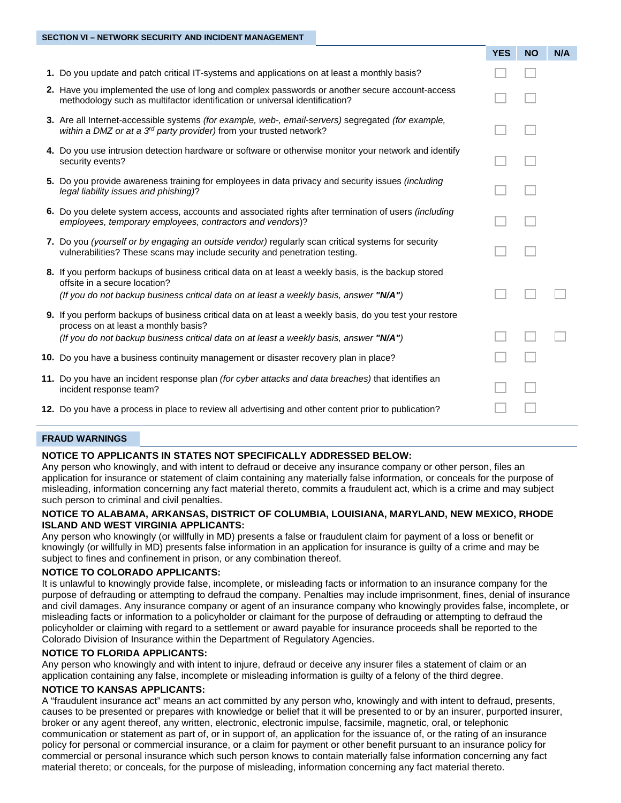|                                                                                                                                                                                                                                            | <b>YES</b> | <b>NO</b> | N/A |
|--------------------------------------------------------------------------------------------------------------------------------------------------------------------------------------------------------------------------------------------|------------|-----------|-----|
| 1. Do you update and patch critical IT-systems and applications on at least a monthly basis?                                                                                                                                               |            |           |     |
| 2. Have you implemented the use of long and complex passwords or another secure account-access<br>methodology such as multifactor identification or universal identification?                                                              |            |           |     |
| 3. Are all Internet-accessible systems (for example, web-, email-servers) segregated (for example,<br>within a DMZ or at a 3 <sup>rd</sup> party provider) from your trusted network?                                                      |            |           |     |
| 4. Do you use intrusion detection hardware or software or otherwise monitor your network and identify<br>security events?                                                                                                                  |            |           |     |
| 5. Do you provide awareness training for employees in data privacy and security issues <i>(including</i><br>legal liability issues and phishing)?                                                                                          |            |           |     |
| 6. Do you delete system access, accounts and associated rights after termination of users <i>(including</i> )<br>employees, temporary employees, contractors and vendors)?                                                                 |            |           |     |
| 7. Do you (yourself or by engaging an outside vendor) regularly scan critical systems for security<br>vulnerabilities? These scans may include security and penetration testing.                                                           |            |           |     |
| 8. If you perform backups of business critical data on at least a weekly basis, is the backup stored<br>offsite in a secure location?<br>(If you do not backup business critical data on at least a weekly basis, answer "N/A")            |            |           |     |
| 9. If you perform backups of business critical data on at least a weekly basis, do you test your restore<br>process on at least a monthly basis?<br>(If you do not backup business critical data on at least a weekly basis, answer "N/A") |            |           |     |
| 10. Do you have a business continuity management or disaster recovery plan in place?                                                                                                                                                       |            |           |     |
| 11. Do you have an incident response plan (for cyber attacks and data breaches) that identifies an<br>incident response team?                                                                                                              |            |           |     |
| 12. Do you have a process in place to review all advertising and other content prior to publication?                                                                                                                                       |            |           |     |
|                                                                                                                                                                                                                                            |            |           |     |

# **FRAUD WARNINGS**

#### **NOTICE TO APPLICANTS IN STATES NOT SPECIFICALLY ADDRESSED BELOW:**

Any person who knowingly, and with intent to defraud or deceive any insurance company or other person, files an application for insurance or statement of claim containing any materially false information, or conceals for the purpose of misleading, information concerning any fact material thereto, commits a fraudulent act, which is a crime and may subject such person to criminal and civil penalties.

## **NOTICE TO ALABAMA, ARKANSAS, DISTRICT OF COLUMBIA, LOUISIANA, MARYLAND, NEW MEXICO, RHODE ISLAND AND WEST VIRGINIA APPLICANTS:**

Any person who knowingly (or willfully in MD) presents a false or fraudulent claim for payment of a loss or benefit or knowingly (or willfully in MD) presents false information in an application for insurance is guilty of a crime and may be subject to fines and confinement in prison, or any combination thereof.

#### **NOTICE TO COLORADO APPLICANTS:**

It is unlawful to knowingly provide false, incomplete, or misleading facts or information to an insurance company for the purpose of defrauding or attempting to defraud the company. Penalties may include imprisonment, fines, denial of insurance and civil damages. Any insurance company or agent of an insurance company who knowingly provides false, incomplete, or misleading facts or information to a policyholder or claimant for the purpose of defrauding or attempting to defraud the policyholder or claiming with regard to a settlement or award payable for insurance proceeds shall be reported to the Colorado Division of Insurance within the Department of Regulatory Agencies.

## **NOTICE TO FLORIDA APPLICANTS:**

Any person who knowingly and with intent to injure, defraud or deceive any insurer files a statement of claim or an application containing any false, incomplete or misleading information is guilty of a felony of the third degree.

#### **NOTICE TO KANSAS APPLICANTS:**

A "fraudulent insurance act" means an act committed by any person who, knowingly and with intent to defraud, presents, causes to be presented or prepares with knowledge or belief that it will be presented to or by an insurer, purported insurer, broker or any agent thereof, any written, electronic, electronic impulse, facsimile, magnetic, oral, or telephonic communication or statement as part of, or in support of, an application for the issuance of, or the rating of an insurance policy for personal or commercial insurance, or a claim for payment or other benefit pursuant to an insurance policy for commercial or personal insurance which such person knows to contain materially false information concerning any fact material thereto; or conceals, for the purpose of misleading, information concerning any fact material thereto.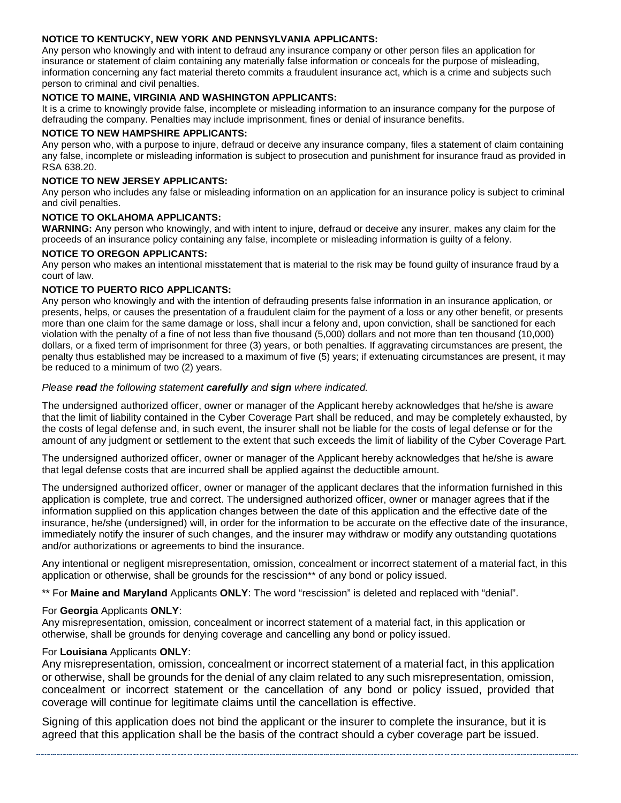# **NOTICE TO KENTUCKY, NEW YORK AND PENNSYLVANIA APPLICANTS:**

Any person who knowingly and with intent to defraud any insurance company or other person files an application for insurance or statement of claim containing any materially false information or conceals for the purpose of misleading, information concerning any fact material thereto commits a fraudulent insurance act, which is a crime and subjects such person to criminal and civil penalties.

# **NOTICE TO MAINE, VIRGINIA AND WASHINGTON APPLICANTS:**

It is a crime to knowingly provide false, incomplete or misleading information to an insurance company for the purpose of defrauding the company. Penalties may include imprisonment, fines or denial of insurance benefits.

## **NOTICE TO NEW HAMPSHIRE APPLICANTS:**

Any person who, with a purpose to injure, defraud or deceive any insurance company, files a statement of claim containing any false, incomplete or misleading information is subject to prosecution and punishment for insurance fraud as provided in RSA 638.20.

# **NOTICE TO NEW JERSEY APPLICANTS:**

Any person who includes any false or misleading information on an application for an insurance policy is subject to criminal and civil penalties.

# **NOTICE TO OKLAHOMA APPLICANTS:**

**WARNING:** Any person who knowingly, and with intent to injure, defraud or deceive any insurer, makes any claim for the proceeds of an insurance policy containing any false, incomplete or misleading information is guilty of a felony.

# **NOTICE TO OREGON APPLICANTS:**

Any person who makes an intentional misstatement that is material to the risk may be found guilty of insurance fraud by a court of law.

# **NOTICE TO PUERTO RICO APPLICANTS:**

Any person who knowingly and with the intention of defrauding presents false information in an insurance application, or presents, helps, or causes the presentation of a fraudulent claim for the payment of a loss or any other benefit, or presents more than one claim for the same damage or loss, shall incur a felony and, upon conviction, shall be sanctioned for each violation with the penalty of a fine of not less than five thousand (5,000) dollars and not more than ten thousand (10,000) dollars, or a fixed term of imprisonment for three (3) years, or both penalties. If aggravating circumstances are present, the penalty thus established may be increased to a maximum of five (5) years; if extenuating circumstances are present, it may be reduced to a minimum of two (2) years.

# *Please read the following statement carefully and sign where indicated.*

The undersigned authorized officer, owner or manager of the Applicant hereby acknowledges that he/she is aware that the limit of liability contained in the Cyber Coverage Part shall be reduced, and may be completely exhausted, by the costs of legal defense and, in such event, the insurer shall not be liable for the costs of legal defense or for the amount of any judgment or settlement to the extent that such exceeds the limit of liability of the Cyber Coverage Part.

The undersigned authorized officer, owner or manager of the Applicant hereby acknowledges that he/she is aware that legal defense costs that are incurred shall be applied against the deductible amount.

The undersigned authorized officer, owner or manager of the applicant declares that the information furnished in this application is complete, true and correct. The undersigned authorized officer, owner or manager agrees that if the information supplied on this application changes between the date of this application and the effective date of the insurance, he/she (undersigned) will, in order for the information to be accurate on the effective date of the insurance, immediately notify the insurer of such changes, and the insurer may withdraw or modify any outstanding quotations and/or authorizations or agreements to bind the insurance.

Any intentional or negligent misrepresentation, omission, concealment or incorrect statement of a material fact, in this application or otherwise, shall be grounds for the rescission\*\* of any bond or policy issued.

\*\* For **Maine and Maryland** Applicants **ONLY**: The word "rescission" is deleted and replaced with "denial".

# For **Georgia** Applicants **ONLY**:

Any misrepresentation, omission, concealment or incorrect statement of a material fact, in this application or otherwise, shall be grounds for denying coverage and cancelling any bond or policy issued.

# For **Louisiana** Applicants **ONLY**:

Any misrepresentation, omission, concealment or incorrect statement of a material fact, in this application or otherwise, shall be grounds for the denial of any claim related to any such misrepresentation, omission, concealment or incorrect statement or the cancellation of any bond or policy issued, provided that coverage will continue for legitimate claims until the cancellation is effective.

Signing of this application does not bind the applicant or the insurer to complete the insurance, but it is agreed that this application shall be the basis of the contract should a cyber coverage part be issued.